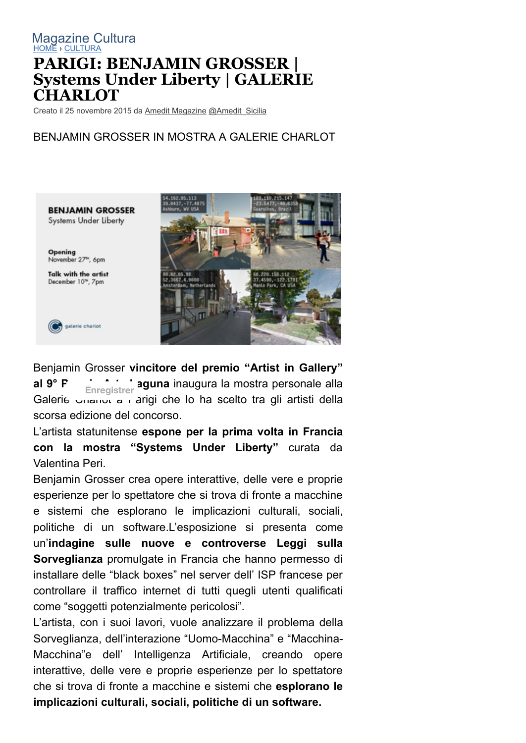## [HOME](http://it.paperblog.com/) › [CULTURA](http://it.paperblog.com/cultura/) **PARIGI: BENJAMIN GROSSER | Systems Under Liberty | GALERIE CHARLOT** [Magazine Cultura](http://it.paperblog.com/cultura/)

Creato il 25 novembre 2015 da [Amedit Magazine](http://it.paperblog.com/users/amedit/) [@Amedit\\_Sicilia](http://twitter.com/Amedit_Sicilia)

## BENJAMIN GROSSER IN MOSTRA A GALERIE CHARLOT

**BENJAMIN GROSSER** Systems Under Liberty Opening November 27<sup>™</sup>, 6pm Talk with the artist December 10<sup>m</sup>, 7pm galerie charlot



Benjamin Grosser **vincitore del premio "Artist in Gallery"** al 9<sup>°</sup> F Enregistrer aguna inaugura la mostra personale alla Galerie 
<sub>Charlot</sub> a rarigi che lo ha scelto tra gli artisti della scorsa edizione del concorso.

L'artista statunitense **espone per la prima volta in Francia con la mostra "Systems Under Liberty"** curata da Valentina Peri.

Benjamin Grosser crea opere interattive, delle vere e proprie esperienze per lo spettatore che si trova di fronte a macchine e sistemi che esplorano le implicazioni culturali, sociali, politiche di un software.L'esposizione si presenta come un'**indagine sulle nuove e controverse Leggi sulla Sorveglianza** promulgate in Francia che hanno permesso di installare delle "black boxes" nel server dell' ISP francese per controllare il traffico internet di tutti quegli utenti qualificati come "soggetti potenzialmente pericolosi".

L'artista, con i suoi lavori, vuole analizzare il problema della Sorveglianza, dell'interazione "Uomo-Macchina" e "Macchina-Macchina"e dell' Intelligenza Artificiale, creando opere interattive, delle vere e proprie esperienze per lo spettatore che si trova di fronte a macchine e sistemi che **esplorano le implicazioni culturali, sociali, politiche di un software.**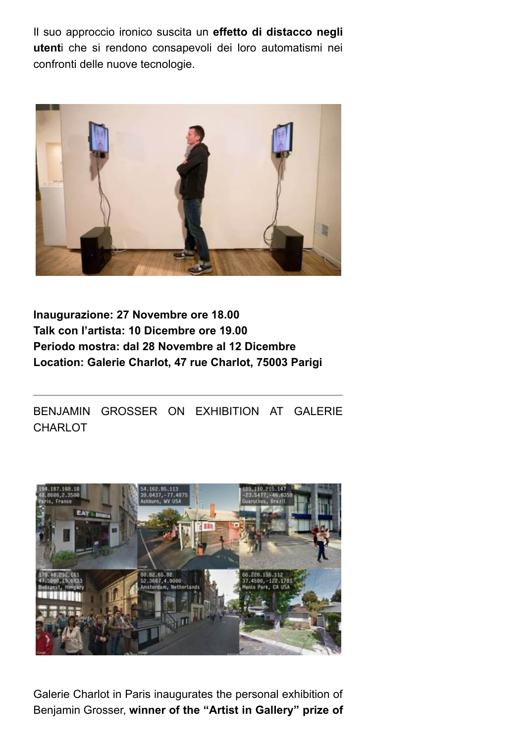Il suo approccio ironico suscita un **effetto di distacco negli utent**i che si rendono consapevoli dei loro automatismi nei confronti delle nuove tecnologie.



## **Inaugurazione: 27 Novembre ore 18.00 Talk con l'artista: 10 Dicembre ore 19.00 Periodo mostra: dal 28 Novembre al 12 Dicembre Location: Galerie Charlot, 47 rue Charlot, 75003 Parigi**

BENJAMIN GROSSER ON EXHIBITION AT GALERIE CHARLOT



Galerie Charlot in Paris inaugurates the personal exhibition of Benjamin Grosser, **winner of the "Artist in Gallery" prize of**